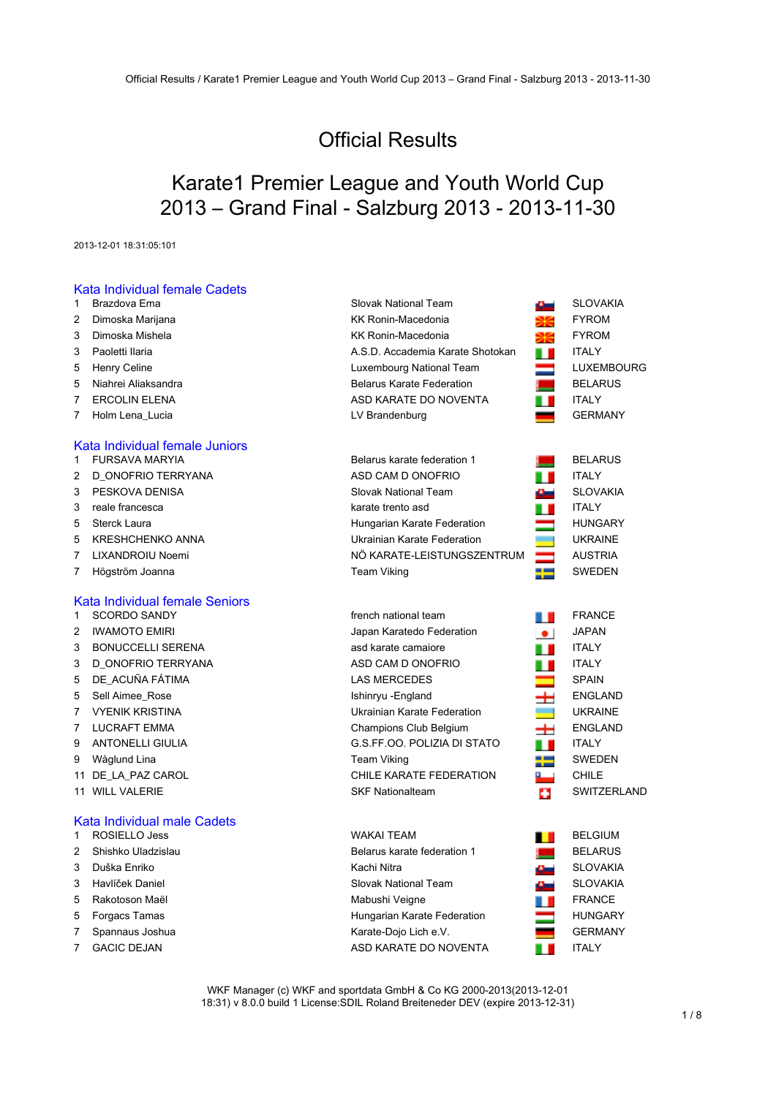## Official Results

## Karate1 Premier League and Youth World Cup 2013 – Grand Final - Salzburg 2013 - 2013-11-30

2013-12-01 18:31:05:101

# Kata Individual female Cadets<br>1 Brazdova Ema

- 
- 
- 
- 
- 
- 
- 
- 

### Kata Individual female Juniors

- 
- 2 D\_ONOFRIO TERRYANA ASD CAM D ONOFRIO ITALY
- 3 PESKOVA DENISA Slovak National Team SLOVAKIA
- 3 reale francesca and ITALY is a contract trento asd ITALY
- 
- 5 KRESHCHENKO ANNA Ukrainian Karate Federation UKRAINE
- 7 LIXANDROIU Noemi **NÖ KARATE-LEISTUNGSZENTRUM** AUSTRIA
- 7 Högström Joanna National State State Sweet Team Viking National State Sweet Sweet Sweet Sweet Sweet Sweet Sweet Sweet Sweet Sweet Sweet Sweet Sweet Sweet Sweet Sweet Sweet Sweet Sweet Sweet Sweet Sweet Sweet Sweet Sweet

### Kata Individual female Seniors

- 1 SCORDO SANDY **french national team** french national team
- 2 IWAMOTO EMIRI 2009 METATRA Japan Karatedo Federation
- 3 BONUCCELLI SERENA asd karate camaiore
- 3 D\_ONOFRIO TERRYANA ASD CAM D ONOFRIO
- 5 DE ACUÑA FÁTIMA LAS MERCEDES
- 5 Sell Aimee\_Rose Ishinryu -England
- 7 VYENIK KRISTINA **WARATE ING TAKATA NGA TATA NGA TATA** Ukrainian Karate Federation
- 7 LUCRAFT EMMA Champions Club Belgium
- 9 ANTONELLI GIULIA G.S.FF.OO. POLIZIA DI STATO
- 9 Wåglund Lina Team Viking
- 11 DE\_LA\_PAZ CAROL CHILE KARATE FEDERATION
- 

### Kata Individual male Cadets

- 
- 
- 
- 
- 5 Rakotoson Maël Mabushi Veigne
- 
- 7 Spannaus Joshua **Karate-Dojo Lich e.V.** GERMANY
- 7 GACIC DEJAN ASD KARATE DO NOVENTA

2 Dimoska Marijana KK Ronin-Macedonia FYROM 3 Dimoska Mishela **KK Ronin-Macedonia** FYROM 3 Paoletti Ilaria **A.S.D. Accademia Karate Shotokan** ITALY 5 Henry Celine **Luxembourg National Team** LUXEMBOURG 5 Niahrei Aliaksandra Belarus Karate Federation BELARUS 7 ERCOLIN ELENA ASD KARATE DO NOVENTA IN ITALY 7 Holm Lena\_Lucia **Communist Communist Communist Communist Communist Communist Communist Communist Communist Communist Communist Communist Communist Communist Communist Communist Communist Communist Communist Communist Com** 

1 FURSAVA MARYIA **Belarus karate federation 1** BELARUS

Slovak National Team SLOVAKIA

5 Sterck Laura **Hungarian Karate Federation HUNGARY** 

| $1 \quad$      | <b>SCORDO SANDY</b>      | french national team        |           | <b>FRANCE</b>      |
|----------------|--------------------------|-----------------------------|-----------|--------------------|
| $\overline{2}$ | <b>IWAMOTO EMIRI</b>     | Japan Karatedo Federation   | $\bullet$ | <b>JAPAN</b>       |
| 3              | <b>BONUCCELLI SERENA</b> | asd karate camaiore         |           | <b>ITALY</b>       |
|                | 3 D ONOFRIO TERRYANA     | ASD CAM D ONOFRIO           | ш         | <b>ITALY</b>       |
|                | 5 DE_ACUÑA FÁTIMA        | <b>LAS MERCEDES</b>         |           | <b>SPAIN</b>       |
|                | 5 Sell Aimee Rose        | Ishinryu - England          | $\,$      | <b>ENGLAND</b>     |
| $7^{\circ}$    | <b>VYENIK KRISTINA</b>   | Ukrainian Karate Federation | a a s     | <b>UKRAINE</b>     |
| $7^{\circ}$    | LUCRAFT EMMA             | Champions Club Belgium      | ᆂ         | <b>ENGLAND</b>     |
| 9              | ANTONELLI GIULIA         | G.S.FF.OO. POLIZIA DI STATO | ш         | <b>ITALY</b>       |
| 9              | Wåglund Lina             | Team Viking                 | 55        | <b>SWEDEN</b>      |
|                | 11 DE LA PAZ CAROL       | CHILE KARATE FEDERATION     |           | <b>CHILE</b>       |
|                | 11 WILL VALERIE          | <b>SKF Nationalteam</b>     | ÷         | <b>SWITZERLAND</b> |
|                |                          |                             |           |                    |

| $1 \quad$      | ROSIELLO Jess      | WAKAI TEAM                           | BELGIUM         |
|----------------|--------------------|--------------------------------------|-----------------|
| $2^{\circ}$    | Shishko Uladzislau | Belarus karate federation 1          | <b>BELARUS</b>  |
| 3 <sup>7</sup> | Duška Enriko       | Kachi Nitra<br>نسائك                 | <b>SLOVAKIA</b> |
| 3 <sup>1</sup> | Havlíček Daniel    | <b>Slovak National Team</b><br>نسائك | <b>SLOVAKIA</b> |
|                | 5 Rakotoson Maël   | Mabushi Veigne                       | FRANCE          |
|                | 5 Forgacs Tamas    | Hungarian Karate Federation          | <b>HUNGARY</b>  |
| 7              | Spannaus Joshua    | Karate-Dojo Lich e.V.<br>—           | <b>GERMANY</b>  |
| $7^{\circ}$    | <b>GACIC DEJAN</b> | ASD KARATE DO NOVENTA                | <b>ITALY</b>    |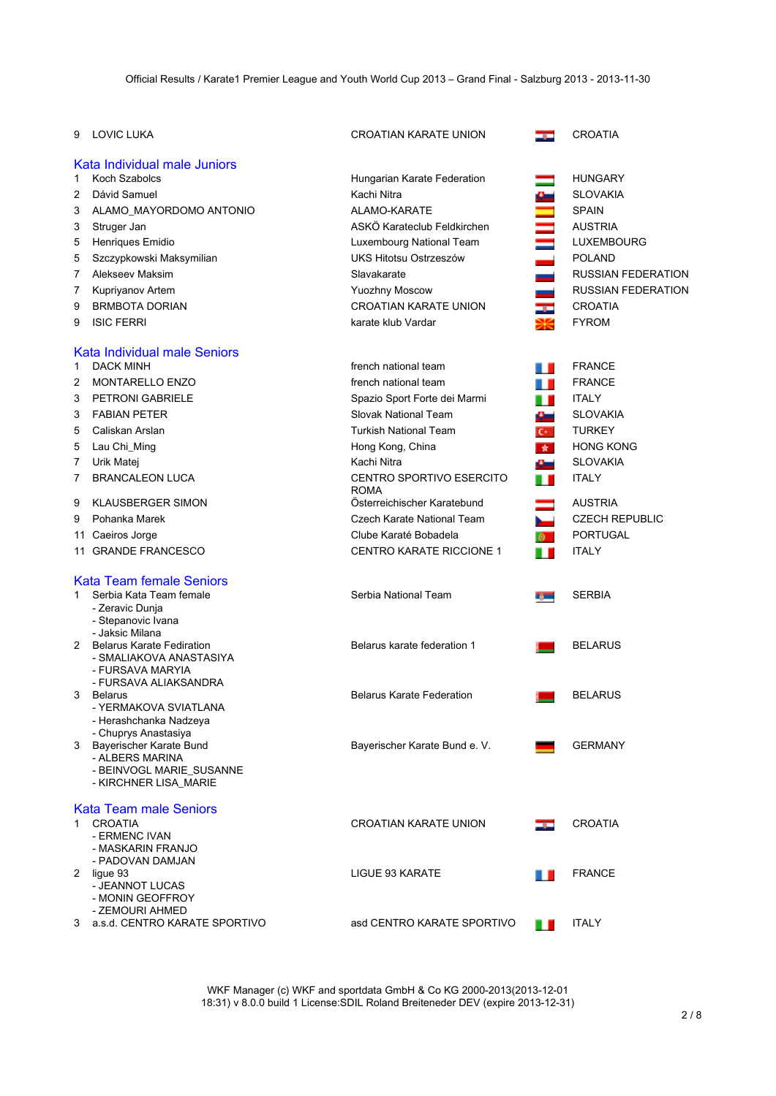CROATIAN KARATE UNION CROATIA

Hungarian Karate Federation **HUNGARY** 

french national team FRANCE

ITALY

| LOVIC LUKA<br>9 |  |
|-----------------|--|
|-----------------|--|

# Kata Individual male Juniors<br>1 Koch Szabolcs

- 
- 2 Dávid Samuel **Kachi Nitra SLOVAKIA**<br>A SLOVAKIA
- 3 ALAMO\_MAYORDOMO ANTONIO ALAMO-KARATE SPAIN
- 3 Struger Jan AUSTRIA ASKÖ Karateclub Feldkirchen **III** AUSTRIA
- 5 Henriques Emidio **Luxembourg National Team** LUXEMBOURG
- 5 Szczypkowski Maksymilian UKS Hitotsu Ostrzeszów POLAND
- 7 Alekseev Maksim Slavakarate Slavakarate Slavakarate RUSSIAN FEDERATION
- 7 Kupriyanov Artem **Xupriyanov Artem Statem Statem Article Article Article Article Article Article Article Article Article Article Article Article Article Article Article Article Article Article Article Article Article Art**
- 9 BRMBOTA DORIAN CROATIAN CROATIAN KARATE UNION THE CROATIA
- 9 ISIC FERRI **ERRI KARATA KARATA KARATA KARATA KARATA KARATA KARATA KARATA KARATA KARATA KARATA KARATA KARATA K**

## Kata Individual male Seniors<br>1 DACK MINH

- 
- 2 MONTARELLO ENZO french national team **FRANCE**
- 3 PETRONI GABRIELE Spazio Spazio Sport Forte dei Marmi ITALY
- 3 FABIAN PETER SIDVAK National Team SIDVAKIA
- 5 Caliskan Arslan Turkish National Team Turkish National Team Turkish National Team Turkish National Team Turkish National Team Turkish National Team Turkish National Team Turkish National Team Turkish National Team Turkis
- 5 Lau Chi\_Ming Hong Kong, China HONG KONG
- 7 Urik Matej **Kachi Nitra Nitra SLOVAKIA**
- 7 BRANCALEON LUCA CENTRO SPORTIVO ESERCITO
- 9 KLAUSBERGER SIMON **Einer Einer Einer Gesterreichischer Karatebund** AUSTRIA
- 9 Pohanka Marek Czech Karate National Team CZECH REPUBLIC
- 11 Caeiros Jorge **Clube Karaté Bobadela** PORTUGAL
- 11 GRANDE FRANCESCO CENTRO KARATE RICCIONE 1 ITALY

### Kata Team female Seniors

| 1             | Serbia Kata Team female<br>- Zeravic Dunja<br>- Stepanovic Ivana<br>- Jaksic Milana                                | Serbia National Team          | ng m | <b>SERBIA</b>  |
|---------------|--------------------------------------------------------------------------------------------------------------------|-------------------------------|------|----------------|
| $\mathcal{P}$ | <b>Belarus Karate Fediration</b><br>- SMALIAKOVA ANASTASIYA<br>- FURSAVA MARYIA                                    | Belarus karate federation 1   |      | <b>BELARUS</b> |
| 3             | - FURSAVA ALIAKSANDRA<br><b>Belarus</b><br>- YERMAKOVA SVIATLANA<br>- Herashchanka Nadzeya<br>- Chuprys Anastasiya | Belarus Karate Federation     |      | <b>BELARUS</b> |
| 3             | Bayerischer Karate Bund<br>- ALBERS MARINA<br>- BEINVOGL MARIE SUSANNE<br>- KIRCHNER LISA_MARIE                    | Bayerischer Karate Bund e. V. |      | <b>GERMANY</b> |
| 1             | <b>Kata Team male Seniors</b><br><b>CROATIA</b><br>- ERMENC IVAN<br>- MASKARIN FRANJO<br>- PADOVAN DAMJAN          | <b>CROATIAN KARATE UNION</b>  | 33   | <b>CROATIA</b> |
|               | 2 ligue 93<br>- JEANNOT LUCAS<br>- MONIN GEOFFROY<br>- ZEMOURI AHMED                                               | LIGUE 93 KARATE               |      | <b>FRANCE</b>  |
| 3             | a.s.d. CENTRO KARATE SPORTIVO                                                                                      | asd CENTRO KARATE SPORTIVO    |      | <b>ITALY</b>   |

ROMA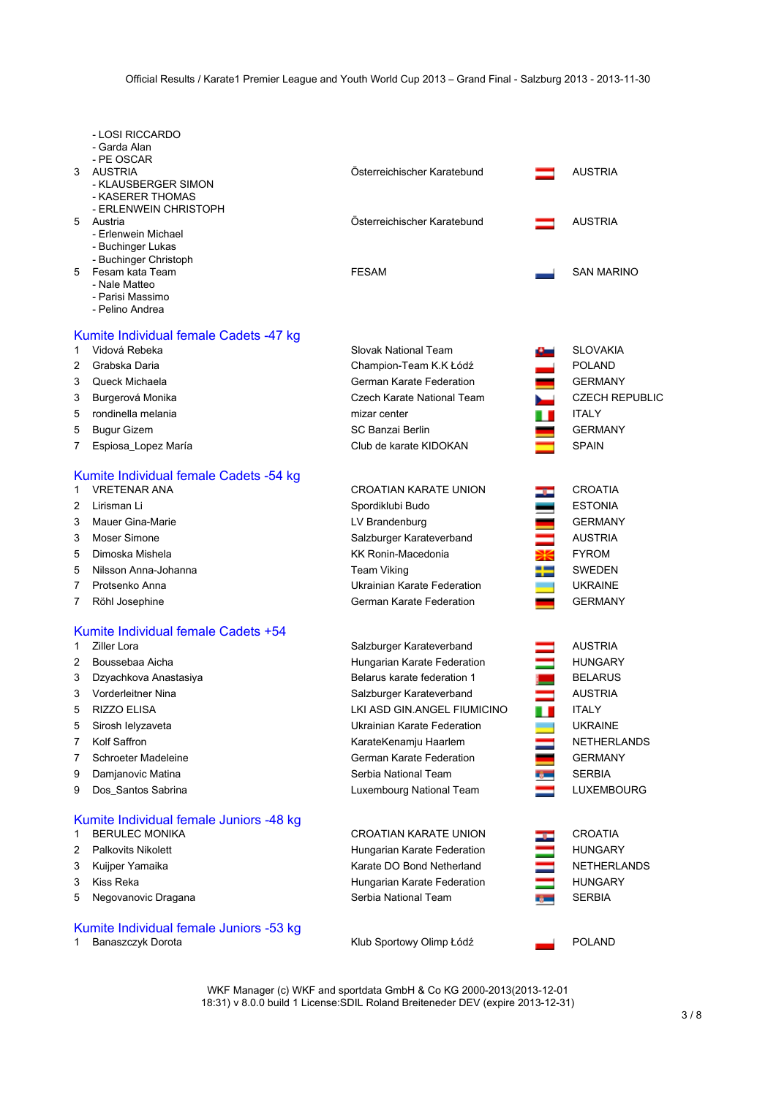|   | - LOSI RICCARDO                                           |                              |    |                       |
|---|-----------------------------------------------------------|------------------------------|----|-----------------------|
|   | - Garda Alan                                              |                              |    |                       |
| 3 | - PE OSCAR<br><b>AUSTRIA</b>                              | Osterreichischer Karatebund  |    | <b>AUSTRIA</b>        |
|   | - KLAUSBERGER SIMON                                       |                              |    |                       |
|   | - KASERER THOMAS                                          |                              |    |                       |
|   | - ERLENWEIN CHRISTOPH                                     |                              |    |                       |
| 5 | Austria                                                   | Österreichischer Karatebund  |    | <b>AUSTRIA</b>        |
|   | - Erlenwein Michael<br>- Buchinger Lukas                  |                              |    |                       |
|   | - Buchinger Christoph                                     |                              |    |                       |
| 5 | Fesam kata Team                                           | <b>FESAM</b>                 |    | <b>SAN MARINO</b>     |
|   | - Nale Matteo                                             |                              |    |                       |
|   | - Parisi Massimo                                          |                              |    |                       |
|   | - Pelino Andrea                                           |                              |    |                       |
|   | Kumite Individual female Cadets -47 kg                    |                              |    |                       |
| 1 | Vidová Rebeka                                             | Slovak National Team         | سد | <b>SLOVAKIA</b>       |
| 2 | Grabska Daria                                             | Champion-Team K.K Łódź       |    | <b>POLAND</b>         |
| 3 | Queck Michaela                                            | German Karate Federation     |    | <b>GERMANY</b>        |
| 3 | Burgerová Monika                                          | Czech Karate National Team   |    | <b>CZECH REPUBLIC</b> |
|   | rondinella melania                                        | mizar center                 |    | <b>ITALY</b>          |
| 5 |                                                           |                              |    |                       |
| 5 | <b>Bugur Gizem</b>                                        | SC Banzai Berlin             |    | <b>GERMANY</b>        |
| 7 | Espiosa_Lopez María                                       | Club de karate KIDOKAN       |    | <b>SPAIN</b>          |
|   | Kumite Individual female Cadets -54 kg                    |                              |    |                       |
| 1 | <b>VRETENAR ANA</b>                                       | <b>CROATIAN KARATE UNION</b> |    | <b>CROATIA</b>        |
| 2 | Lirisman Li                                               | Spordiklubi Budo             |    | <b>ESTONIA</b>        |
| 3 | Mauer Gina-Marie                                          |                              |    | <b>GERMANY</b>        |
|   | Moser Simone                                              | LV Brandenburg               |    |                       |
| 3 |                                                           | Salzburger Karateverband     |    | <b>AUSTRIA</b>        |
| 5 | Dimoska Mishela                                           | KK Ronin-Macedonia           |    | <b>FYROM</b>          |
| 5 | Nilsson Anna-Johanna                                      | Team Viking                  | ╄  | <b>SWEDEN</b>         |
| 7 | Protsenko Anna                                            | Ukrainian Karate Federation  |    | <b>UKRAINE</b>        |
| 7 | Röhl Josephine                                            | German Karate Federation     |    | <b>GERMANY</b>        |
|   |                                                           |                              |    |                       |
|   | Kumite Individual female Cadets +54<br><b>Ziller Lora</b> |                              |    |                       |
| 1 |                                                           | Salzburger Karateverband     |    | <b>AUSTRIA</b>        |
| 2 | Boussebaa Aicha                                           | Hungarian Karate Federation  |    | <b>HUNGARY</b>        |
| 3 | Dzyachkova Anastasiya                                     | Belarus karate federation 1  |    | <b>BELARUS</b>        |
| 3 | Vorderleitner Nina                                        | Salzburger Karateverband     |    | <b>AUSTRIA</b>        |
| 5 | RIZZO ELISA                                               | LKI ASD GIN.ANGEL FIUMICINO  |    | ITALY                 |
| 5 | Sirosh lelyzaveta                                         | Ukrainian Karate Federation  |    | <b>UKRAINE</b>        |
| 7 | Kolf Saffron                                              | KarateKenamju Haarlem        |    | NETHERLANDS           |
| 7 | Schroeter Madeleine                                       | German Karate Federation     |    | <b>GERMANY</b>        |
| 9 | Damjanovic Matina                                         | Serbia National Team         |    | <b>SERBIA</b>         |
| 9 | Dos_Santos Sabrina                                        | Luxembourg National Team     |    | <b>LUXEMBOURG</b>     |
|   |                                                           |                              |    |                       |
|   | Kumite Individual female Juniors -48 kg                   |                              |    |                       |
| 1 | <b>BERULEC MONIKA</b>                                     | <b>CROATIAN KARATE UNION</b> |    | <b>CROATIA</b>        |
| 2 | <b>Palkovits Nikolett</b>                                 | Hungarian Karate Federation  |    | <b>HUNGARY</b>        |
| 3 | Kuijper Yamaika                                           | Karate DO Bond Netherland    |    | <b>NETHERLANDS</b>    |
| 3 | Kiss Reka                                                 | Hungarian Karate Federation  |    | <b>HUNGARY</b>        |
| 5 | Negovanovic Dragana                                       | Serbia National Team         |    | <b>SERBIA</b>         |
|   |                                                           |                              |    |                       |
|   | Kumite Individual female Juniors -53 kg                   |                              |    |                       |
|   | Banaszczyk Dorota                                         | Klub Sportowy Olimp Łódź     |    | <b>POLAND</b>         |
|   |                                                           |                              |    |                       |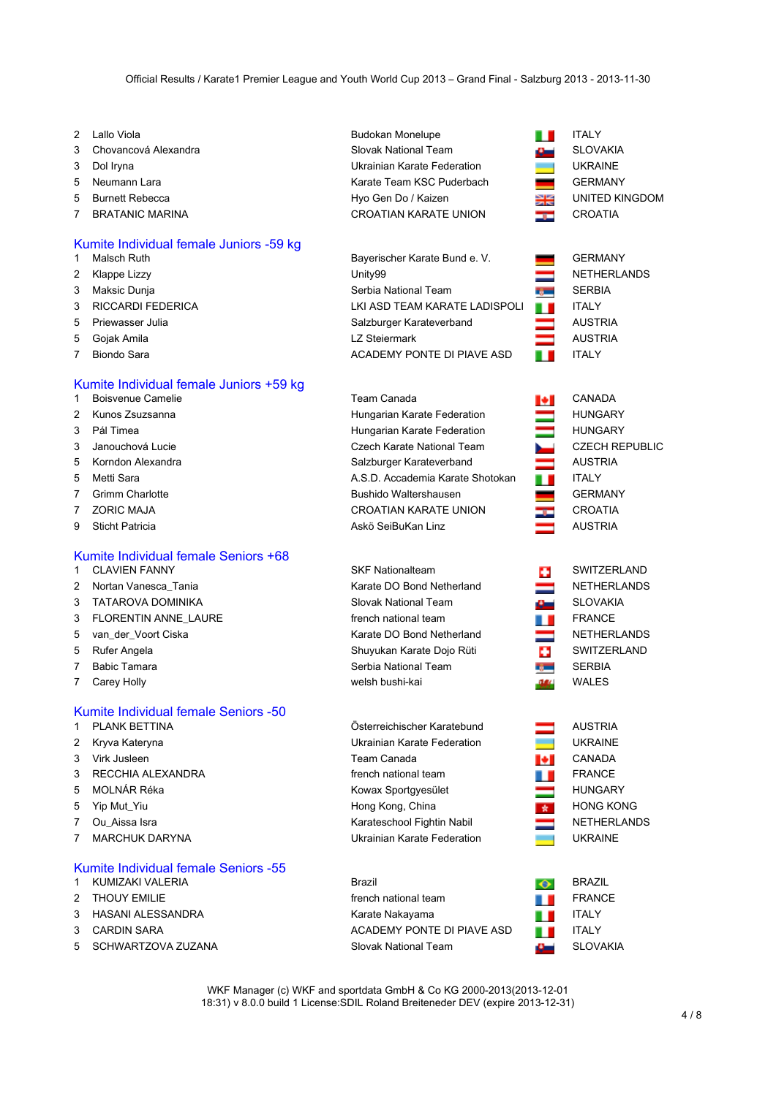- 2 Lallo Viola **Budokan Monelupe** ITALY
- 
- 
- 
- 
- 

### Kumite Individual female Juniors -59 kg

- 
- 
- 
- 
- 
- 
- 

### Kumite Individual female Juniors +59 kg

- 1 Boisvenue Camelie **Team Canada** CANADA Team Canada CANADA
- 2 Kunos Zsuzsanna **Hungarian Karate Federation** HUNGARY
- 3 Pál Timea **Hungarian Karate Federation** Hungarian Karate Federation **HUNGARY**
- 3 Janouchová Lucie Czech Karate National Team CZECH REPUBLIC
- 5 Korndon Alexandra **National Salzburger Karateverband AUSTRIA**
- 5 Metti Sara **A.S.D. Accademia Karate Shotokan** ITALY
- 7 Grimm Charlotte **Bushido Waltershausen** GERMANY
- 7 ZORIC MAJA CROATIAN KARATE UNION CROATIA
- 9 Sticht Patricia **Askö SeiBuKan Linz** Australianus Askö SeiBuKan Linz **AUSTRIA**

### Kumite Individual female Seniors +68

- 1 CLAVIEN FANNY SALL SKF Nationalteam CLAVIEN FANNY
- 2 Nortan Vanesca\_Tania Netherland Karate DO Bond Netherland Netherland NETHERLANDS
- 3 TATAROVA DOMINIKA SIDO Slovak National Team SLOVAKIA
- 3 FLORENTIN ANNE LAURE french national team **FRANCE**
- 5 van\_der\_Voort Ciska Netherland Karate DO Bond Netherland Netherland NETHERLANDS
- 5 Rufer Angela Shuyukan Karate Dojo Rüti SWITZERLAND
- 7 Babic Tamara Serbia National Team Serbia National Team SERBIA
- 7 Carey Holly welsh bushi-kai WALES

### Kumite Individual female Seniors -50

- 
- 
- 
- 3 RECCHIA ALEXANDRA **FRANCE french national team** FRANCE
- 
- 
- 
- 

### Kumite Individual female Seniors -55

- 
- 
- 
- 
- 

3 Chovancová Alexandra Slovak National Team SLOVAKIA 3 Dol Iryna Ukrainian Karate Federation UKRAINE 5 Neumann Lara **Karate Team KSC Puderbach** GERMANY 5 Burnett Rebecca **Hyo Gen Do / Kaizen Night Community** UNITED KINGDOM 7 BRATANIC MARINA **CROATIAN KARATE UNION THE CROATIA** 

1 Malsch Ruth Bayerischer Karate Bund e. V. GERMANY 2 Klappe Lizzy **Network Contract Contract Contract Contract Contract Contract Contract Contract Contract Contract Contract Contract Contract Contract Contract Contract Contract Contract Contract Contract Contract Contract** 3 Maksic Dunia **Serbia National Team SERBIA** SERBIA 3 RICCARDI FEDERICA LKI ASD TEAM KARATE LADISPOLI IN TALY 5 Priewasser Julia **Salzburger Karateverband** AUSTRIA 5 Gojak Amila **Lating Australia** Lating Steiermark **Australia Australia Australia Australia** Australia 7 Biondo Sara **ACADEMY PONTE DI PIAVE ASD** ITALY

1 PLANK BETTINA Österreichischer Karatebund AUSTRIA 2 Kryva Kateryna Ukrainian Karate Federation UKRAINE 3 Virk Jusleen New York 10 and Team Canada New York II CANADA 5 MOLNÁR Réka Kowax Sportgyesület HUNGARY



WKF Manager (c) WKF and sportdata GmbH & Co KG 2000-2013(2013-12-01 18:31) v 8.0.0 build 1 License:SDIL Roland Breiteneder DEV (expire 2013-12-31)

1 KUMIZAKI VALERIA Brazil BRAZIL 2 THOUY EMILIE **french national team** FRANCE 3 HASANI ALESSANDRA Karate Nakayama ITALY 3 CARDIN SARA ACADEMY PONTE DI PIAVE ASD ITALY 5 SCHWARTZOVA ZUZANA SIDO Slovak National Team SLOVAKIA

5 Yip Mut\_Yiu Hong Kong, China HONG KONG 7 Ou Aissa Isra Karateschool Fightin Nabil Network NETHERLANDS 7 MARCHUK DARYNA Ukrainian Karate Federation UKRAINE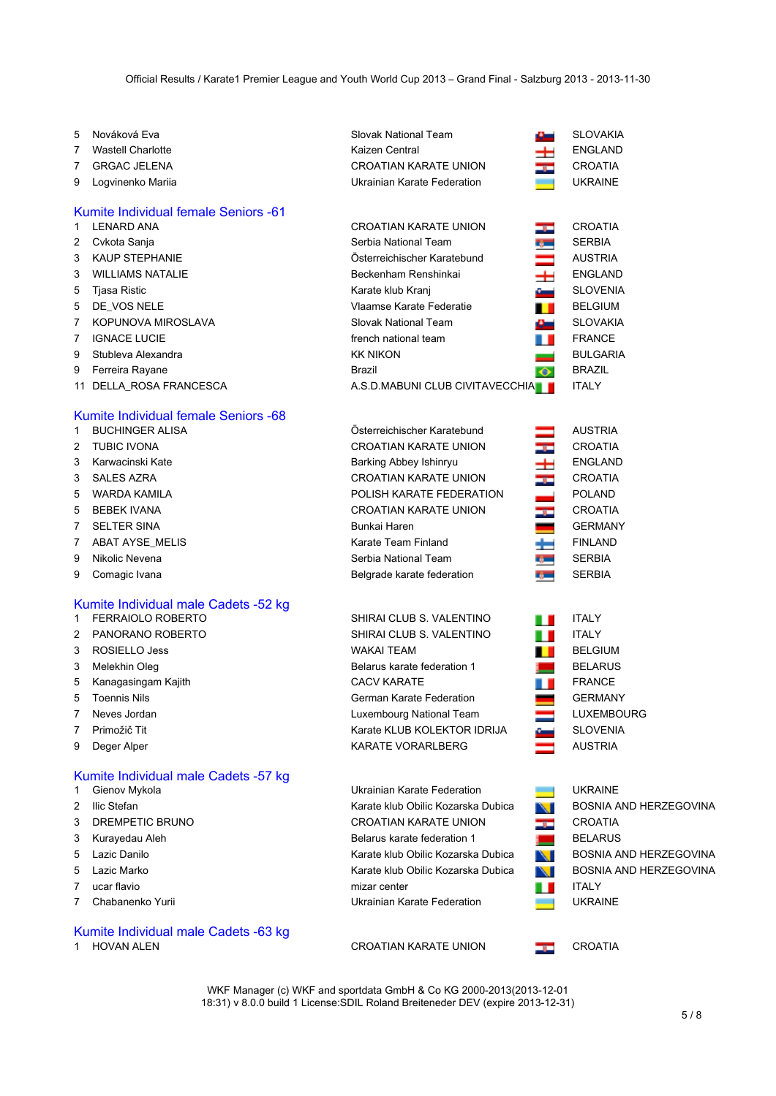| 5              | Nováková Eva                         | Slovak National Team               |                          | <b>SLOVAKIA</b>        |
|----------------|--------------------------------------|------------------------------------|--------------------------|------------------------|
| $\mathbf{7}$   | <b>Wastell Charlotte</b>             | Kaizen Central                     | +                        | <b>ENGLAND</b>         |
| 7              | <b>GRGAC JELENA</b>                  | <b>CROATIAN KARATE UNION</b>       | ŋ.                       | <b>CROATIA</b>         |
| 9              | Logvinenko Mariia                    | Ukrainian Karate Federation        | $\overline{\phantom{0}}$ | <b>UKRAINE</b>         |
|                | Kumite Individual female Seniors -61 |                                    |                          |                        |
| $\mathbf{1}$   | <b>LENARD ANA</b>                    | <b>CROATIAN KARATE UNION</b>       | در                       | <b>CROATIA</b>         |
| $\mathbf{2}$   | Cvkota Sanja                         | Serbia National Team               | īд.                      | <b>SERBIA</b>          |
| 3              | <b>KAUP STEPHANIE</b>                | Österreichischer Karatebund        |                          | <b>AUSTRIA</b>         |
| 3              | <b>WILLIAMS NATALIE</b>              | Beckenham Renshinkai               | $\pm$                    | <b>ENGLAND</b>         |
| 5              | Tjasa Ristic                         | Karate klub Kranj                  | ست                       | <b>SLOVENIA</b>        |
| 5              | DE_VOS NELE                          | Vlaamse Karate Federatie           | H                        | <b>BELGIUM</b>         |
| $\overline{7}$ | KOPUNOVA MIROSLAVA                   | <b>Slovak National Team</b>        | æ.                       | <b>SLOVAKIA</b>        |
| 7              | <b>IGNACE LUCIE</b>                  | french national team               | n n                      | <b>FRANCE</b>          |
| 9              | Stubleva Alexandra                   | <b>KK NIKON</b>                    | _                        | <b>BULGARIA</b>        |
| 9              | Ferreira Rayane                      | Brazil                             | $\bullet$                | <b>BRAZIL</b>          |
|                | 11 DELLA_ROSA FRANCESCA              | A.S.D.MABUNI CLUB CIVITAVECCHIA    |                          | <b>ITALY</b>           |
|                | Kumite Individual female Seniors -68 |                                    |                          |                        |
| $\mathbf{1}$   | <b>BUCHINGER ALISA</b>               | Österreichischer Karatebund        |                          | <b>AUSTRIA</b>         |
| 2              | <b>TUBIC IVONA</b>                   | <b>CROATIAN KARATE UNION</b>       | ŋ.                       | <b>CROATIA</b>         |
| 3              | Karwacinski Kate                     | <b>Barking Abbey Ishinryu</b>      | Ŧ                        | <b>ENGLAND</b>         |
| 3              | <b>SALES AZRA</b>                    | <b>CROATIAN KARATE UNION</b>       | ÷                        | <b>CROATIA</b>         |
| 5              | <b>WARDA KAMILA</b>                  | POLISH KARATE FEDERATION           | -                        | <b>POLAND</b>          |
| 5              | <b>BEBEK IVANA</b>                   | <b>CROATIAN KARATE UNION</b>       | لى<br>م                  | <b>CROATIA</b>         |
| 7              | <b>SELTER SINA</b>                   | Bunkai Haren                       | m.                       | <b>GERMANY</b>         |
| 7              | ABAT AYSE_MELIS                      | Karate Team Finland                | ÷                        | <b>FINLAND</b>         |
| 9              | Nikolic Nevena                       | Serbia National Team               | $\bullet$                | <b>SERBIA</b>          |
| 9              | Comagic Ivana                        | Belgrade karate federation         | <b>Report</b>            | <b>SERBIA</b>          |
|                | Kumite Individual male Cadets -52 kg |                                    |                          |                        |
| 1              | FERRAIOLO ROBERTO                    | SHIRAI CLUB S. VALENTINO           | m n                      | <b>ITALY</b>           |
| 2              | PANORANO ROBERTO                     | SHIRAI CLUB S. VALENTINO           | n r                      | <b>ITALY</b>           |
| 3              | ROSIELLO Jess                        | <b>WAKAI TEAM</b>                  | П                        | <b>BELGIUM</b>         |
| 3              | Melekhin Oleg                        | Belarus karate federation 1        |                          | <b>BELARUS</b>         |
| 5              | Kanagasingam Kajith                  | <b>CACV KARATE</b>                 | Ш                        | <b>FRANCE</b>          |
| 5              | Toennis Nils                         | German Karate Federation           |                          | <b>GERMANY</b>         |
| 7              | Neves Jordan                         | Luxembourg National Team           | ═                        | LUXEMBOURG             |
| 7              | Primožič Tit                         | Karate KLUB KOLEKTOR IDRIJA        |                          | <b>SLOVENIA</b>        |
| 9              | Deger Alper                          | <b>KARATE VORARLBERG</b>           |                          | <b>AUSTRIA</b>         |
|                | Kumite Individual male Cadets -57 kg |                                    |                          |                        |
| 1              | Gienov Mykola                        | Ukrainian Karate Federation        |                          | <b>UKRAINE</b>         |
| 2              | Ilic Stefan                          | Karate klub Obilic Kozarska Dubica | N                        | BOSNIA AND HERZEGOVINA |
| 3              | DREMPETIC BRUNO                      | <b>CROATIAN KARATE UNION</b>       | دود                      | <b>CROATIA</b>         |
| 3              | Kurayedau Aleh                       | Belarus karate federation 1        | ш                        | <b>BELARUS</b>         |
| 5              | Lazic Danilo                         | Karate klub Obilic Kozarska Dubica | N                        | BOSNIA AND HERZEGOVINA |
| 5              | Lazic Marko                          | Karate klub Obilic Kozarska Dubica | N                        | BOSNIA AND HERZEGOVINA |
| 7              | ucar flavio                          | mizar center                       | n n                      | <b>ITALY</b>           |
| 7              | Chabanenko Yurii                     | Ukrainian Karate Federation        | <b>Contract Contract</b> | <b>UKRAINE</b>         |
|                | Kumite Individual male Cadets -63 kg |                                    |                          |                        |
| 1.             | <b>HOVAN ALEN</b>                    | CROATIAN KARATE UNION              |                          | <b>CROATIA</b>         |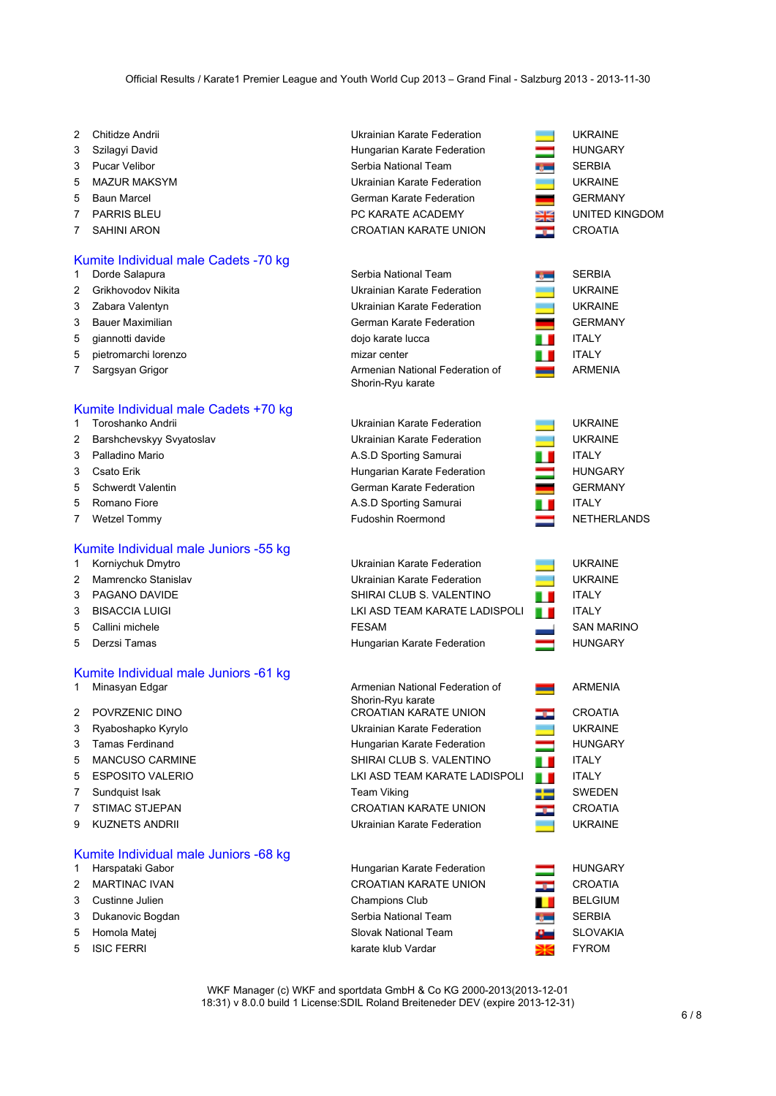- 2 Chitidze Andrii **New York China Andrii Ukrainian Karate Federation** Chitidze Andrii UKRAINE
- 
- 
- 
- 
- 
- 

### Kumite Individual male Cadets -70 kg

- 
- 
- 
- 
- 
- 
- 

# Kumite Individual male Cadets +70 kg<br>1 Toroshanko Andrii

- 
- 
- 
- 
- 
- 
- 

# Kumite Individual male Juniors -55 kg

- 
- 
- 
- 
- 
- 

### Kumite Individual male Juniors -61 kg

- 
- 
- 
- 
- 
- 
- 
- 
- 

### Kumite Individual male Juniors -68 kg

- 
- 
- 3 Custinne Julien **Champions Club** BELGIUM Champions Club
- 
- 
- 

3 Szilagyi David **Hungarian Karate Federation** HUNGARY 3 Pucar Velibor Serbia National Team SERBIA 5 MAZUR MAKSYM Ukrainian Karate Federation UKRAINE 5 Baun Marcel German Karate Federation GERMANY 7 PARRIS BLEU PC KARATE ACADEMY UNITED KINGDOM 7 SAHINI ARON **CROATIAN KARATE UNION CROATIAN CROATIAN** 

1 Dorde Salapura Serbia National Team SERBIA SERBIA 2 Grikhovodov Nikita Ukrainian Karate Federation UKRAINE 3 Zabara Valentyn Ukrainian Karate Federation UKRAINE 3 Bauer Maximilian Communication German Karate Federation CHE GERMANY 5 giannotti davide dose dojo karate lucca in a iTALY ITALY 5 pietromarchi lorenzo **mizar center** in the mizar center ITALY 7 Sargsyan Grigor **Armenian National Federation of** Armenian National Federation of Shorin-Ryu karate

Ukrainian Karate Federation **National Contracts** UKRAINE 2 Barshchevskyy Svyatoslav **Varian Library System UKRAINE** UKRAINE 3 Palladino Mario **A.S.D Sporting Samurai** ITALY 3 Csato Erik Hungarian Karate Federation Hungarian Karate Federation Hungary Hungary 5 Schwerdt Valentin German Karate Federation GERMANY 5 Romano Fiore **A.S.D Sporting Samurai** ITALY 7 Wetzel Tommy **Full Accommon Contains Contains Full Accommon Contains Contains Contains Contains Contains Contains Contains Contains Accommon Contains Network Contains Accommon Contains Accommon Contains Accommon Contains** 

1 Korniychuk Dmytro Ukrainian Karate Federation UKRAINE 2 Mamrencko Stanislav **National Exercise Standard Ukrainian Karate Federation** UKRAINE 3 PAGANO DAVIDE SHIRAI CLUB S. VALENTINO 3 BISACCIA LUIGI LKI ASD TEAM KARATE LADISPOLI ITALY 5 Callini michele **SAN MARINO** FESAM **SAN MARINO** 5 Derzsi Tamas **Hungarian Karate Federation** HUNGARY

1 Minasyan Edgar **Armenian National Federation of** Armenian National Federation of Shorin-Ryu karate 2 POVRZENIC DINO CROATIAN KARATE UNION 3 Ryaboshapko Kyrylo **Narate Karate Federation** Ukrainian Karate Federation 3 Tamas Ferdinand **Hungarian Karate Federation** Hungarian Karate Federation 5 MANCUSO CARMINE SHIRAI CLUB S. VALENTINO 5 ESPOSITO VALERIO **LICITA E LA CONSTRUITE A LICITATURE E LADISPOLI** 7 Sundquist Isak **Team Viking** Sundquist Isak SwEDENER SWEDEN SWEDEN SWEDEN SWEDEN SWEDEN SWEDEN SWEDEN SWEDEN SWEDEN 7 STIMAC STJEPAN CROATIAN KARATE UNION 9 KUZNETS ANDRII 2002 - 2003 - Ukrainian Karate Federation

1 Harspataki Gabor **Hungarian Karate Federation** 2 MARTINAC IVAN CROATIAN KARATE UNION 3 Dukanovic Bogdan Serbia National Team Serbia National Team Serbia National Team Serbia National Team Serbia N 5 Homola Matej Slovak National Team 5 ISIC FERRI karate klub Vardar Kunst karate klub Vardar FYROM Karate klub Vardar FYROM Karate klub Vardar FYROM









ARMENIA

| <b>ARMENIA</b> |
|----------------|
| CROATIA        |
| UKRAINF        |
| HUNGARY        |
| <b>ITALY</b>   |
| <b>ITALY</b>   |
| <b>SWEDEN</b>  |
| CROATIA        |
| UKRAINF        |
|                |
|                |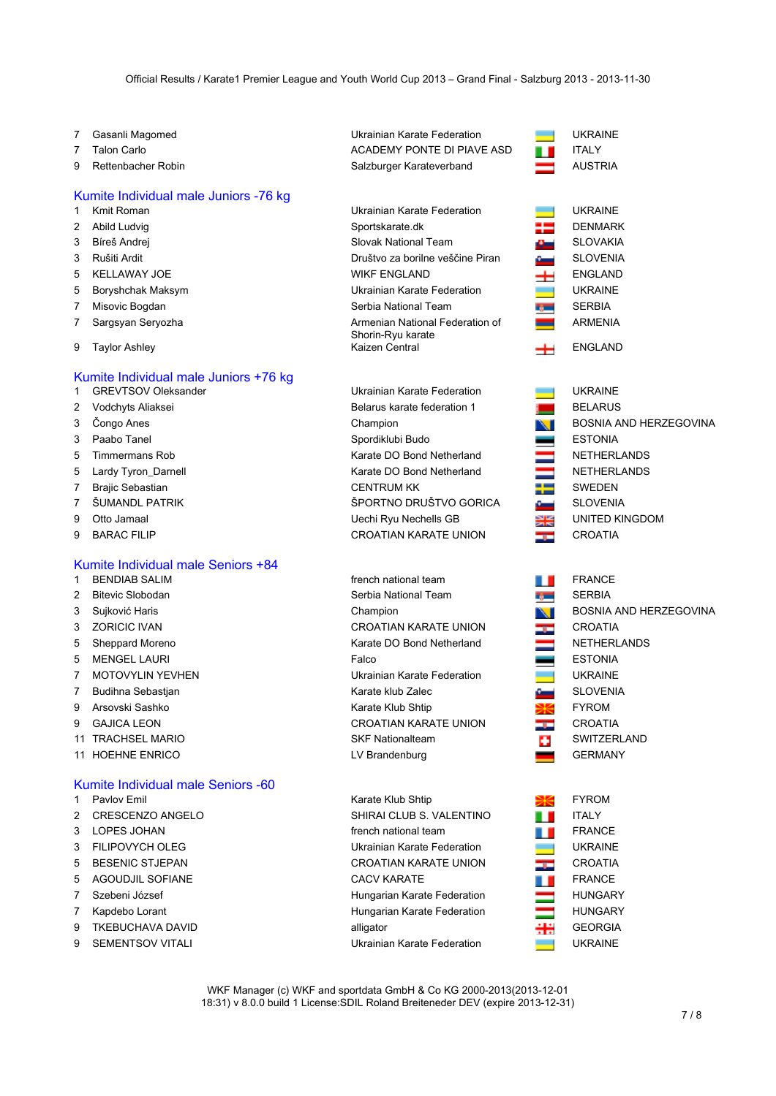- 
- 
- 

## Kumite Individual male Juniors -76 kg

- 
- 
- 
- 
- 
- 
- 
- 
- 

### Kumite Individual male Juniors +76 kg

- 
- 
- 
- 
- 
- 
- 
- 
- 
- 

### Kumite Individual male Seniors +84

- 
- 
- 
- 
- 
- 
- 
- 
- 
- 
- 
- 

### Kumite Individual male Seniors -60

- 
- 
- 
- 
- 
- 
- 
- 
- 
- 9 SEMENTSOV VITALI Ukrainian Karate Federation UKRAINE

7 Gasanli Magomed **National Accord Contract Contract Contract Ukrainian Karate Federation** Contract UKRAINE 7 Talon Carlo **ACADEMY PONTE DI PIAVE ASD** ITALY 9 Rettenbacher Robin **Salzburger Karateverband** AUSTRIA

- 1 Kmit Roman Ukrainian Karate Federation UKRAINE 2 Abild Ludvig Sportskarate.dk DENMARK 3 Bíreš Andrej Slovak National Team SLOVAKIA 3 Rušiti Ardit National Article Christianus Društvo za borilne veščine Piran National SLOVENIA 5 KELLAWAY JOE WIKF ENGLAND ENGLAND 5 Boryshchak Maksym Ukrainian Karate Federation UKRAINE 7 Misovic Bogdan Serbia National Team Serbia National Team SERBIA 7 Sargsyan Seryozha **Armenian National Federation of** Armenian National Federation of Shorin-Ryu karate<br>Kaizen Central 9 Taylor Ashley **Kaizen Central** Kaizen Central Assemblance Central ENGLAND
- 1 GREVTSOV Oleksander **Ukrainian Karate Federation** 2 Vodchyts Aliaksei and a state federation 1 and 2 and 2 and 2 and 2 and 2 and 2 and 2 and 2 and 3 and 3 and 3 and 4 and 4 and 4 and 4 and 4 and 4 and 4 and 4 and 4 and 4 and 4 and 4 and 4 and 4 and 4 and 4 and 4 and 4 and 3 Čongo Anes Champion BOSNIA AND HERZEGOVINA 3 Paabo Tanel Spordiklubi Budo 5 Timmermans Rob **Karate DO Bond Netherland** 5 Lardy Tyron\_Darnell Mater Construction Caracter DO Bond Netherland 7 Brajic Sebastian CENTRUM KK SWEDEN SERVERSEN SWEDEN CENTRUM KK 7 ŠUMANDL PATRIK SPORTNO DRUŠTVO GORICA 9 Otto Jamaal Uechi Ryu Nechells GB 9 BARAC FILIP CROATIAN KARATE UNION

1 BENDIAB SALIM **1 EXAMPLE 1 1 FRANCE 1 FRANCE 1 FRANCE** 2 Bitevic Slobodan Serbia National Team SERBIA 3 ZORICIC IVAN CROATIAN KARATE UNION CROATIAN KARATE UNION CROATIAN 5 Sheppard Moreno **Karate DO Bond Netherland** NETHERLANDS 5 MENGEL LAURI Falco ESTONIA 7 MOTOVYLIN YEVHEN **WELL ARE A CONTROLL STATE OF STATE CONTROLLY AND THE URRAINE** 7 Budihna Sebastjan Newsitan Karate klub Zalec Newsitan SLOVENIA 9 Arsovski Sashko Karate Klub Shtip FYROM Karate Klub Shtip Reserves Arsovski Sashko 9 GAJICA LEON **CROATIAN KARATE UNION THE CROATIAN** 

11 HOEHNE ENRICO **LY Brandenburg COMENT CONTROL** GERMANY

1 Pavlov Emil **Emil Communist Communist Communist Communist Communist Communist Communist Communist Communist Communist Communist Communist Communist Communist Communist Communist Communist Communist Communist Communist Co** 2 CRESCENZO ANGELO CHE SHIRAI CLUB S. VALENTINO IN THE ITALY 3 LOPES JOHAN **FRANCE french national team** FRANCE 3 FILIPOVYCH OLEG **Ukrainian Karate Federation** UKRAINE 5 BESENIC STJEPAN **CROATIAN KARATE UNION** THE CROATIAN CROATIAN KARATE UNION 5 AGOUDJIL SOFIANE **FRANCE** CACV KARATE **FRANCE** 7 Szebeni József **Hungarian Karate Federation** Hungarian Karate Federation **Hungarian Karate Federation** 7 Kapdebo Lorant **Hungarian Karate Federation** Hungarian Karate Federation **Hungarian Karate Federation** 9 TKEBUCHAVA DAVID alligator alligator and the state of the GEORGIA





|    | <b>UKRAINE</b>         |
|----|------------------------|
| ٠  | <b>BELARUS</b>         |
| Г  | BOSNIA AND HERZEGOVINA |
| ī  | <b>FSTONIA</b>         |
| Ē  | NFTHERI ANDS           |
| ij | <b>NETHERLANDS</b>     |
| ē  | <b>SWEDEN</b>          |
|    | SI OVENIA              |
| €  | UNITED KINGDOM         |
|    | CROATIA                |